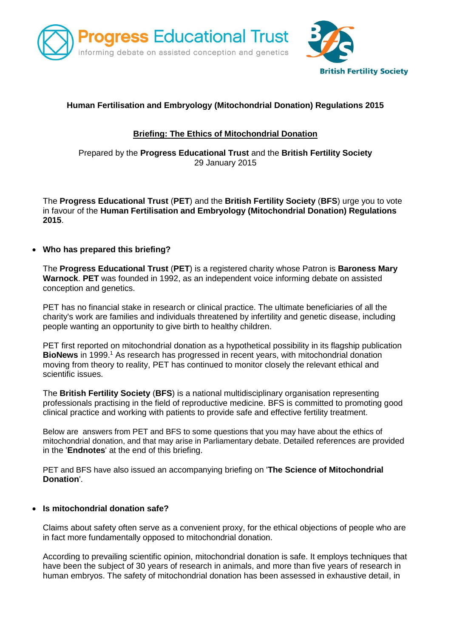



# **Human Fertilisation and Embryology (Mitochondrial Donation) Regulations 2015**

## **Briefing: The Ethics of Mitochondrial Donation**

## Prepared by the **Progress Educational Trust** and the **British Fertility Society** 29 January 2015

The **Progress Educational Trust** (**PET**) and the **British Fertility Society** (**BFS**) urge you to vote in favour of the **Human Fertilisation and Embryology (Mitochondrial Donation) Regulations 2015**.

## **Who has prepared this briefing?**

The **Progress Educational Trust** (**PET**) is a registered charity whose Patron is **Baroness Mary Warnock**. **PET** was founded in 1992, as an independent voice informing debate on assisted conception and genetics.

PET has no financial stake in research or clinical practice. The ultimate beneficiaries of all the charity's work are families and individuals threatened by infertility and genetic disease, including people wanting an opportunity to give birth to healthy children.

PET first reported on mitochondrial donation as a hypothetical possibility in its flagship publication **BioNews** in 1999. <sup>1</sup> As research has progressed in recent years, with mitochondrial donation moving from theory to reality, PET has continued to monitor closely the relevant ethical and scientific issues.

The **British Fertility Society** (**BFS**) is a national multidisciplinary organisation representing professionals practising in the field of reproductive medicine. BFS is committed to promoting good clinical practice and working with patients to provide safe and effective fertility treatment.

Below are answers from PET and BFS to some questions that you may have about the ethics of mitochondrial donation, and that may arise in Parliamentary debate. Detailed references are provided in the '**Endnotes**' at the end of this briefing.

PET and BFS have also issued an accompanying briefing on '**The Science of Mitochondrial Donation**'.

### **Is mitochondrial donation safe?**

Claims about safety often serve as a convenient proxy, for the ethical objections of people who are in fact more fundamentally opposed to mitochondrial donation.

According to prevailing scientific opinion, mitochondrial donation is safe. It employs techniques that have been the subject of 30 years of research in animals, and more than five years of research in human embryos. The safety of mitochondrial donation has been assessed in exhaustive detail, in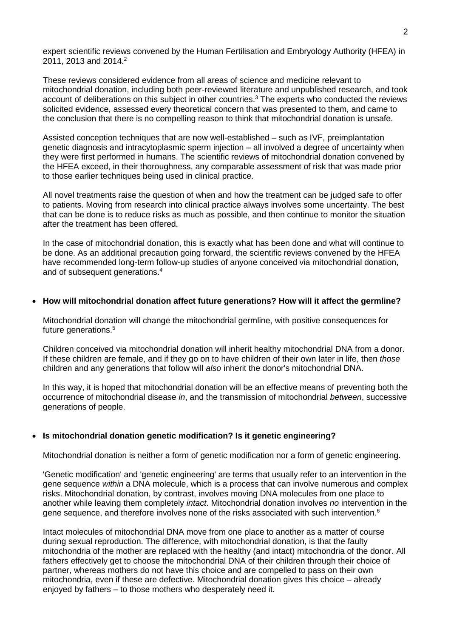expert scientific reviews convened by the Human Fertilisation and Embryology Authority (HFEA) in 2011, 2013 and 2014. 2

These reviews considered evidence from all areas of science and medicine relevant to mitochondrial donation, including both peer-reviewed literature and unpublished research, and took account of deliberations on this subject in other countries.<sup>3</sup> The experts who conducted the reviews solicited evidence, assessed every theoretical concern that was presented to them, and came to the conclusion that there is no compelling reason to think that mitochondrial donation is unsafe.

Assisted conception techniques that are now well-established – such as IVF, preimplantation genetic diagnosis and intracytoplasmic sperm injection – all involved a degree of uncertainty when they were first performed in humans. The scientific reviews of mitochondrial donation convened by the HFEA exceed, in their thoroughness, any comparable assessment of risk that was made prior to those earlier techniques being used in clinical practice.

All novel treatments raise the question of when and how the treatment can be judged safe to offer to patients. Moving from research into clinical practice always involves some uncertainty. The best that can be done is to reduce risks as much as possible, and then continue to monitor the situation after the treatment has been offered.

In the case of mitochondrial donation, this is exactly what has been done and what will continue to be done. As an additional precaution going forward, the scientific reviews convened by the HFEA have recommended long-term follow-up studies of anyone conceived via mitochondrial donation, and of subsequent generations.<sup>4</sup>

#### **How will mitochondrial donation affect future generations? How will it affect the germline?**

Mitochondrial donation will change the mitochondrial germline, with positive consequences for future generations.<sup>5</sup>

Children conceived via mitochondrial donation will inherit healthy mitochondrial DNA from a donor. If these children are female, and if they go on to have children of their own later in life, then *those* children and any generations that follow will *also* inherit the donor's mitochondrial DNA.

In this way, it is hoped that mitochondrial donation will be an effective means of preventing both the occurrence of mitochondrial disease *in*, and the transmission of mitochondrial *between*, successive generations of people.

### **Is mitochondrial donation genetic modification? Is it genetic engineering?**

Mitochondrial donation is neither a form of genetic modification nor a form of genetic engineering.

'Genetic modification' and 'genetic engineering' are terms that usually refer to an intervention in the gene sequence *within* a DNA molecule, which is a process that can involve numerous and complex risks. Mitochondrial donation, by contrast, involves moving DNA molecules from one place to another while leaving them completely *intact*. Mitochondrial donation involves *no* intervention in the gene sequence, and therefore involves none of the risks associated with such intervention. $6$ 

Intact molecules of mitochondrial DNA move from one place to another as a matter of course during sexual reproduction. The difference, with mitochondrial donation, is that the faulty mitochondria of the mother are replaced with the healthy (and intact) mitochondria of the donor. All fathers effectively get to choose the mitochondrial DNA of their children through their choice of partner, whereas mothers do not have this choice and are compelled to pass on their own mitochondria, even if these are defective. Mitochondrial donation gives this choice – already enjoyed by fathers – to those mothers who desperately need it.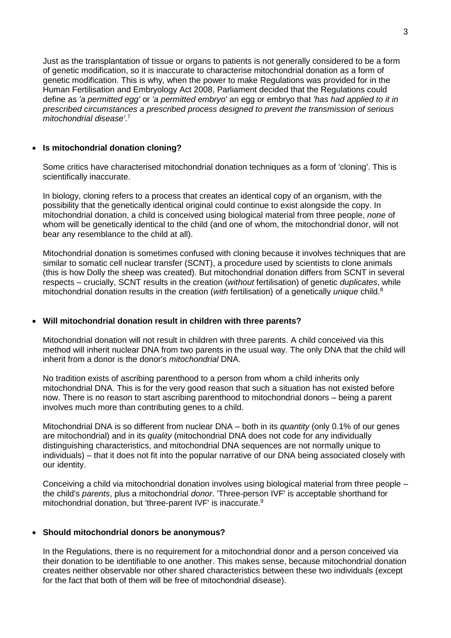Just as the transplantation of tissue or organs to patients is not generally considered to be a form of genetic modification, so it is inaccurate to characterise mitochondrial donation as a form of genetic modification. This is why, when the power to make Regulations was provided for in the Human Fertilisation and Embryology Act 2008, Parliament decided that the Regulations could define as *'a permitted egg'* or *'a permitted embryo'* an egg or embryo that *'has had applied to it in prescribed circumstances a prescribed process designed to prevent the transmission of serious mitochondrial disease'*. 7

### **Is mitochondrial donation cloning?**

Some critics have characterised mitochondrial donation techniques as a form of 'cloning'. This is scientifically inaccurate.

In biology, cloning refers to a process that creates an identical copy of an organism, with the possibility that the genetically identical original could continue to exist alongside the copy. In mitochondrial donation, a child is conceived using biological material from three people, *none* of whom will be genetically identical to the child (and one of whom, the mitochondrial donor, will not bear any resemblance to the child at all).

Mitochondrial donation is sometimes confused with cloning because it involves techniques that are similar to somatic cell nuclear transfer (SCNT), a procedure used by scientists to clone animals (this is how Dolly the sheep was created). But mitochondrial donation differs from SCNT in several respects – crucially, SCNT results in the creation (*without* fertilisation) of genetic *duplicates*, while mitochondrial donation results in the creation (*with* fertilisation) of a genetically *unique* child.<sup>8</sup>

### **Will mitochondrial donation result in children with three parents?**

Mitochondrial donation will not result in children with three parents. A child conceived via this method will inherit nuclear DNA from two parents in the usual way. The only DNA that the child will inherit from a donor is the donor's *mitochondrial* DNA.

No tradition exists of ascribing parenthood to a person from whom a child inherits only mitochondrial DNA. This is for the very good reason that such a situation has not existed before now. There is no reason to start ascribing parenthood to mitochondrial donors – being a parent involves much more than contributing genes to a child.

Mitochondrial DNA is so different from nuclear DNA – both in its *quantity* (only 0.1% of our genes are mitochondrial) and in its *quality* (mitochondrial DNA does not code for any individually distinguishing characteristics, and mitochondrial DNA sequences are not normally unique to individuals) – that it does not fit into the popular narrative of our DNA being associated closely with our identity.

Conceiving a child via mitochondrial donation involves using biological material from three people – the child's *parents*, plus a mitochondrial *donor*. 'Three-person IVF' is acceptable shorthand for mitochondrial donation, but 'three-parent IVF' is inaccurate.<sup>9</sup>

#### **Should mitochondrial donors be anonymous?**

In the Regulations, there is no requirement for a mitochondrial donor and a person conceived via their donation to be identifiable to one another. This makes sense, because mitochondrial donation creates neither observable nor other shared characteristics between these two individuals (except for the fact that both of them will be free of mitochondrial disease).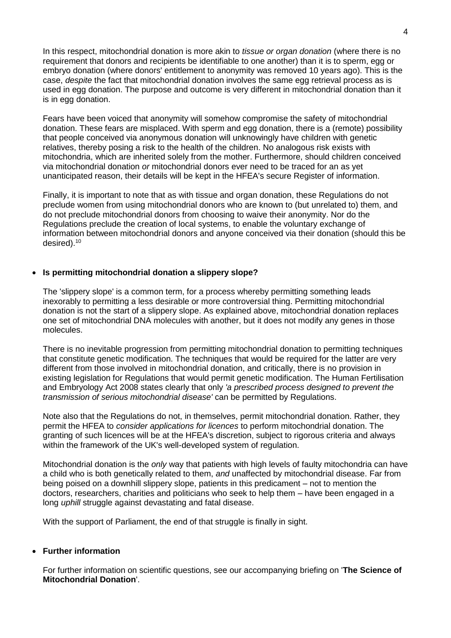In this respect, mitochondrial donation is more akin to *tissue or organ donation* (where there is no requirement that donors and recipients be identifiable to one another) than it is to sperm, egg or embryo donation (where donors' entitlement to anonymity was removed 10 years ago). This is the case, *despite* the fact that mitochondrial donation involves the same egg retrieval process as is used in egg donation. The purpose and outcome is very different in mitochondrial donation than it is in egg donation.

Fears have been voiced that anonymity will somehow compromise the safety of mitochondrial donation. These fears are misplaced. With sperm and egg donation, there is a (remote) possibility that people conceived via anonymous donation will unknowingly have children with genetic relatives, thereby posing a risk to the health of the children. No analogous risk exists with mitochondria, which are inherited solely from the mother. Furthermore, should children conceived via mitochondrial donation *or* mitochondrial donors ever need to be traced for an as yet unanticipated reason, their details will be kept in the HFEA's secure Register of information.

Finally, it is important to note that as with tissue and organ donation, these Regulations do not preclude women from using mitochondrial donors who are known to (but unrelated to) them, and do not preclude mitochondrial donors from choosing to waive their anonymity. Nor do the Regulations preclude the creation of local systems, to enable the voluntary exchange of information between mitochondrial donors and anyone conceived via their donation (should this be desired).<sup>10</sup>

#### **Is permitting mitochondrial donation a slippery slope?**

The 'slippery slope' is a common term, for a process whereby permitting something leads inexorably to permitting a less desirable or more controversial thing. Permitting mitochondrial donation is not the start of a slippery slope. As explained above, mitochondrial donation replaces one set of mitochondrial DNA molecules with another, but it does not modify any genes in those molecules.

There is no inevitable progression from permitting mitochondrial donation to permitting techniques that constitute genetic modification. The techniques that would be required for the latter are very different from those involved in mitochondrial donation, and critically, there is no provision in existing legislation for Regulations that would permit genetic modification. The Human Fertilisation and Embryology Act 2008 states clearly that only *'a prescribed process designed to prevent the transmission of serious mitochondrial disease'* can be permitted by Regulations.

Note also that the Regulations do not, in themselves, permit mitochondrial donation. Rather, they permit the HFEA to *consider applications for licences* to perform mitochondrial donation. The granting of such licences will be at the HFEA's discretion, subject to rigorous criteria and always within the framework of the UK's well-developed system of regulation.

Mitochondrial donation is the *only* way that patients with high levels of faulty mitochondria can have a child who is both genetically related to them, *and* unaffected by mitochondrial disease. Far from being poised on a downhill slippery slope, patients in this predicament – not to mention the doctors, researchers, charities and politicians who seek to help them – have been engaged in a long *uphill* struggle against devastating and fatal disease.

With the support of Parliament, the end of that struggle is finally in sight.

#### **Further information**

For further information on scientific questions, see our accompanying briefing on '**The Science of Mitochondrial Donation**'.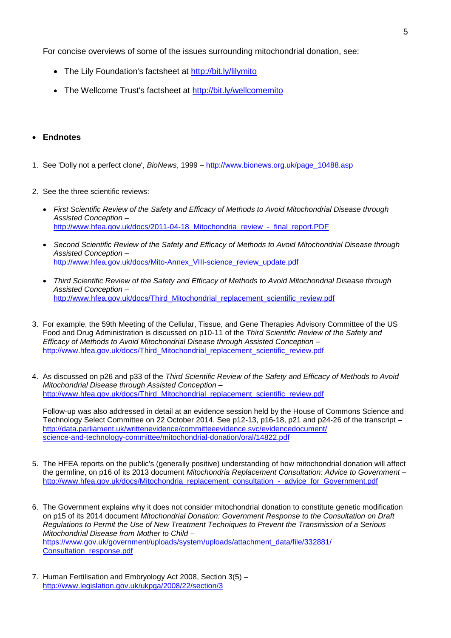For concise overviews of some of the issues surrounding mitochondrial donation, see:

- The Lily Foundation's factsheet at<http://bit.ly/lilymito>
- The Wellcome Trust's factsheet at<http://bit.ly/wellcomemito>

## **Endnotes**

- 1. See 'Dolly not a perfect clone', *BioNews*, 1999 [http://www.bionews.org.uk/page\\_10488.asp](http://www.bionews.org.uk/page_10488.asp)
- 2. See the three scientific reviews:
	- *First Scientific Review of the Safety and Efficacy of Methods to Avoid Mitochondrial Disease through Assisted Conception* – http://www.hfea.gov.uk/docs/2011-04-18 Mitochondria\_review\_-\_final\_report.PDF
	- *Second Scientific Review of the Safety and Efficacy of Methods to Avoid Mitochondrial Disease through Assisted Conception* – [http://www.hfea.gov.uk/docs/Mito-Annex\\_VIII-science\\_review\\_update.pdf](http://www.hfea.gov.uk/docs/Mito-Annex_VIII-science_review_update.pdf)
	- *Third Scientific Review of the Safety and Efficacy of Methods to Avoid Mitochondrial Disease through Assisted Conception* – [http://www.hfea.gov.uk/docs/Third\\_Mitochondrial\\_replacement\\_scientific\\_review.pdf](http://www.hfea.gov.uk/docs/Third_Mitochondrial_replacement_scientific_review.pdf)
- 3. For example, the 59th Meeting of the Cellular, Tissue, and Gene Therapies Advisory Committee of the US Food and Drug Administration is discussed on p10-11 of the *Third Scientific Review of the Safety and Efficacy of Methods to Avoid Mitochondrial Disease through Assisted Conception* – [http://www.hfea.gov.uk/docs/Third\\_Mitochondrial\\_replacement\\_scientific\\_review.pdf](http://www.hfea.gov.uk/docs/Third_Mitochondrial_replacement_scientific_review.pdf)
- 4. As discussed on p26 and p33 of the *Third Scientific Review of the Safety and Efficacy of Methods to Avoid Mitochondrial Disease through Assisted Conception* – [http://www.hfea.gov.uk/docs/Third\\_Mitochondrial\\_replacement\\_scientific\\_review.pdf](http://www.hfea.gov.uk/docs/Third_Mitochondrial_replacement_scientific_review.pdf)

Follow-up was also addressed in detail at an evidence session held by the House of Commons Science and Technology Select Committee on 22 October 2014. See p12-13, p16-18, p21 and p24-26 of the transcript – [http://data.parliament.uk/writtenevidence/committeeevidence.svc/evidencedocument/](http://data.parliament.uk/writtenevidence/committeeevidence.svc/evidencedocument/science-and-technology-committee/mitochondrial-donation/oral/14822.pdf) [science-and-technology-committee/mitochondrial-donation/oral/14822.pdf](http://data.parliament.uk/writtenevidence/committeeevidence.svc/evidencedocument/science-and-technology-committee/mitochondrial-donation/oral/14822.pdf)

- 5. The HFEA reports on the public's (generally positive) understanding of how mitochondrial donation will affect the germline, on p16 of its 2013 document *Mitochondria Replacement Consultation: Advice to Government* – [http://www.hfea.gov.uk/docs/Mitochondria\\_replacement\\_consultation\\_-\\_advice\\_for\\_Government.pdf](http://www.hfea.gov.uk/docs/Mitochondria_replacement_consultation_-_advice_for_Government.pdf)
- 6. The Government explains why it does not consider mitochondrial donation to constitute genetic modification on p15 of its 2014 document *Mitochondrial Donation: Government Response to the Consultation on Draft Regulations to Permit the Use of New Treatment Techniques to Prevent the Transmission of a Serious Mitochondrial Disease from Mother to Child* – [https://www.gov.uk/government/uploads/system/uploads/attachment\\_data/file/332881/](https://www.gov.uk/government/uploads/system/uploads/attachment_data/file/332881/Consultation_response.pdf) [Consultation\\_response.pdf](https://www.gov.uk/government/uploads/system/uploads/attachment_data/file/332881/Consultation_response.pdf)
- 7. Human Fertilisation and Embryology Act 2008, Section 3(5) <http://www.legislation.gov.uk/ukpga/2008/22/section/3>